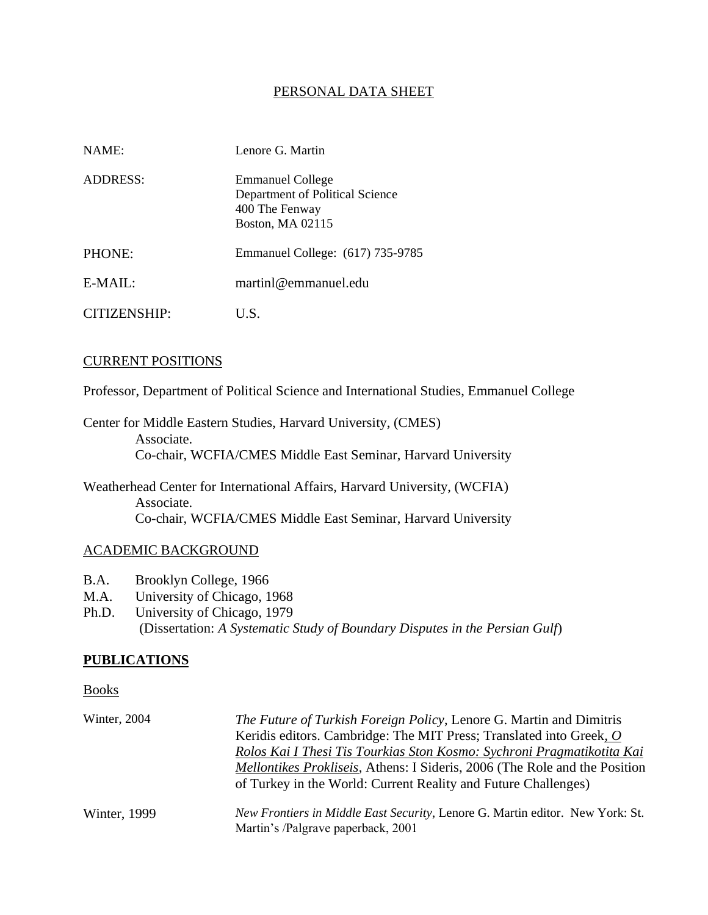### PERSONAL DATA SHEET

| NAME:        | Lenore G. Martin                                                                                 |
|--------------|--------------------------------------------------------------------------------------------------|
| ADDRESS:     | <b>Emmanuel College</b><br>Department of Political Science<br>400 The Fenway<br>Boston, MA 02115 |
| PHONE:       | Emmanuel College: (617) 735-9785                                                                 |
| $E-MAIL:$    | martinl@emmanuel.edu                                                                             |
| CITIZENSHIP: | U.S.                                                                                             |

### CURRENT POSITIONS

Professor, Department of Political Science and International Studies, Emmanuel College

Center for Middle Eastern Studies, Harvard University, (CMES) Associate. Co-chair, WCFIA/CMES Middle East Seminar, Harvard University

Weatherhead Center for International Affairs, Harvard University, (WCFIA) Associate. Co-chair, WCFIA/CMES Middle East Seminar, Harvard University

### ACADEMIC BACKGROUND

- B.A. Brooklyn College, 1966
- M.A. University of Chicago, 1968
- Ph.D. University of Chicago, 1979 (Dissertation: *A Systematic Study of Boundary Disputes in the Persian Gulf*)

### **PUBLICATIONS**

Books

| Winter, 2004 | <i>The Future of Turkish Foreign Policy</i> , Lenore G. Martin and Dimitris          |
|--------------|--------------------------------------------------------------------------------------|
|              | Keridis editors. Cambridge: The MIT Press; Translated into Greek, O                  |
|              | Rolos Kai I Thesi Tis Tourkias Ston Kosmo: Sychroni Pragmatikotita Kai               |
|              | <i>Mellontikes Prokliseis, Athens: I Sideris, 2006 (The Role and the Position)</i>   |
|              | of Turkey in the World: Current Reality and Future Challenges)                       |
| Winter, 1999 | <i>New Frontiers in Middle East Security, Lenore G. Martin editor. New York: St.</i> |
|              | Martin's /Palgrave paperback, 2001                                                   |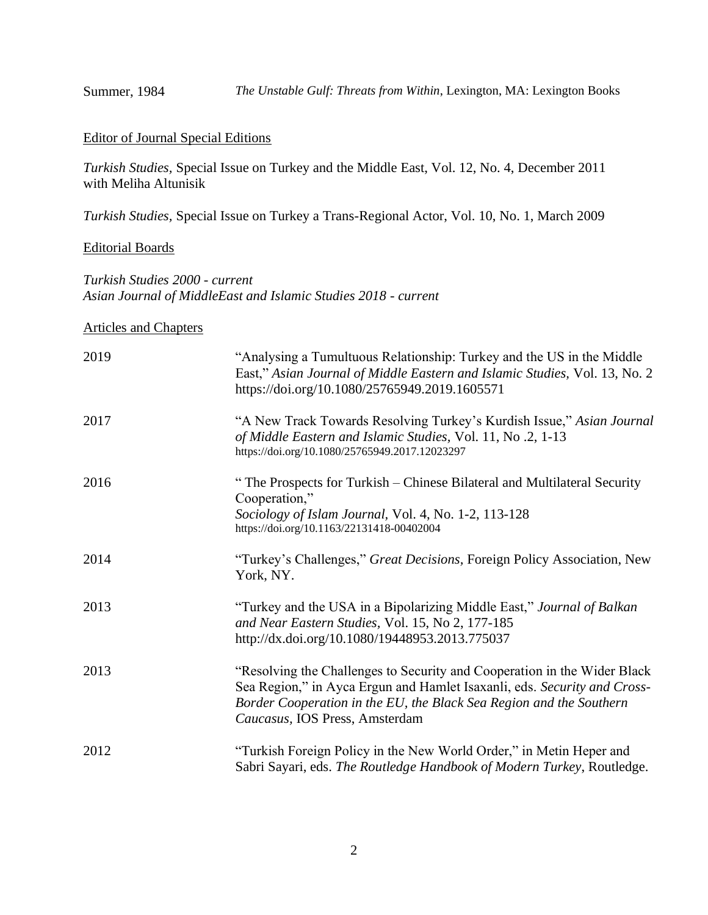### Editor of Journal Special Editions

*Turkish Studies,* Special Issue on Turkey and the Middle East, Vol. 12, No. 4, December 2011 with Meliha Altunisik

*Turkish Studies,* Special Issue on Turkey a Trans-Regional Actor, Vol. 10, No. 1, March 2009

## Editorial Boards

*Turkish Studies 2000 - current Asian Journal of MiddleEast and Islamic Studies 2018 - current*

### Articles and Chapters

| 2019 | "Analysing a Tumultuous Relationship: Turkey and the US in the Middle<br>East," Asian Journal of Middle Eastern and Islamic Studies, Vol. 13, No. 2<br>https://doi.org/10.1080/25765949.2019.1605571                                                          |
|------|---------------------------------------------------------------------------------------------------------------------------------------------------------------------------------------------------------------------------------------------------------------|
| 2017 | "A New Track Towards Resolving Turkey's Kurdish Issue," Asian Journal<br>of Middle Eastern and Islamic Studies, Vol. 11, No.2, 1-13<br>https://doi.org/10.1080/25765949.2017.12023297                                                                         |
| 2016 | "The Prospects for Turkish – Chinese Bilateral and Multilateral Security<br>Cooperation,"<br>Sociology of Islam Journal, Vol. 4, No. 1-2, 113-128<br>https://doi.org/10.1163/22131418-00402004                                                                |
| 2014 | "Turkey's Challenges," Great Decisions, Foreign Policy Association, New<br>York, NY.                                                                                                                                                                          |
| 2013 | "Turkey and the USA in a Bipolarizing Middle East," Journal of Balkan<br>and Near Eastern Studies, Vol. 15, No 2, 177-185<br>http://dx.doi.org/10.1080/19448953.2013.775037                                                                                   |
| 2013 | "Resolving the Challenges to Security and Cooperation in the Wider Black<br>Sea Region," in Ayca Ergun and Hamlet Isaxanli, eds. Security and Cross-<br>Border Cooperation in the EU, the Black Sea Region and the Southern<br>Caucasus, IOS Press, Amsterdam |
| 2012 | "Turkish Foreign Policy in the New World Order," in Metin Heper and<br>Sabri Sayari, eds. The Routledge Handbook of Modern Turkey, Routledge.                                                                                                                 |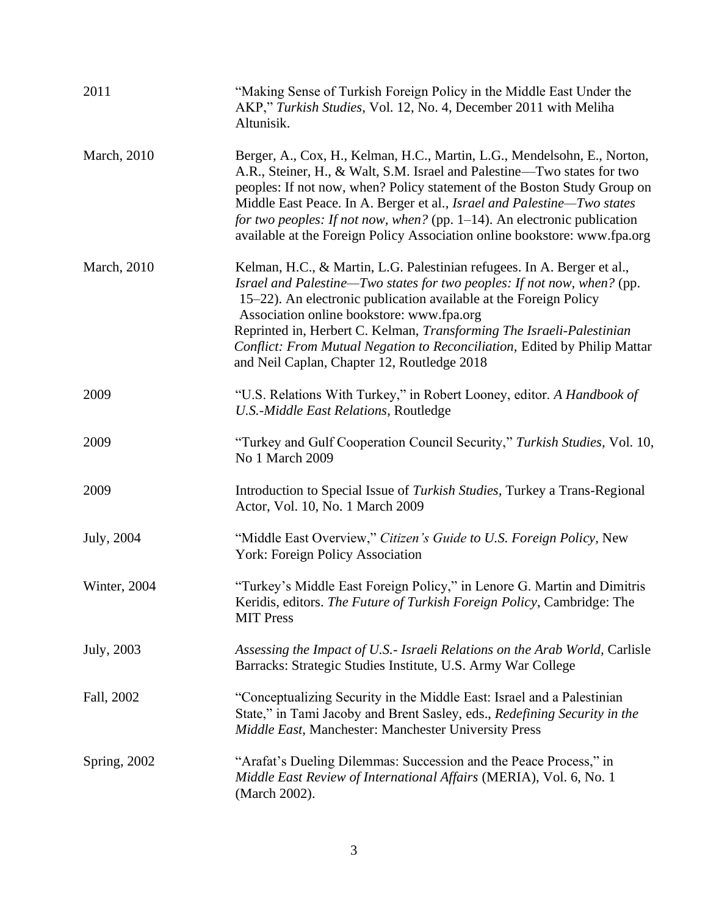| 2011                | "Making Sense of Turkish Foreign Policy in the Middle East Under the<br>AKP," Turkish Studies, Vol. 12, No. 4, December 2011 with Meliha<br>Altunisik.                                                                                                                                                                                                                                                                                                                    |
|---------------------|---------------------------------------------------------------------------------------------------------------------------------------------------------------------------------------------------------------------------------------------------------------------------------------------------------------------------------------------------------------------------------------------------------------------------------------------------------------------------|
| March, 2010         | Berger, A., Cox, H., Kelman, H.C., Martin, L.G., Mendelsohn, E., Norton,<br>A.R., Steiner, H., & Walt, S.M. Israel and Palestine—Two states for two<br>peoples: If not now, when? Policy statement of the Boston Study Group on<br>Middle East Peace. In A. Berger et al., Israel and Palestine-Two states<br>for two peoples: If not now, when? (pp. $1-14$ ). An electronic publication<br>available at the Foreign Policy Association online bookstore: www.fpa.org    |
| <b>March</b> , 2010 | Kelman, H.C., & Martin, L.G. Palestinian refugees. In A. Berger et al.,<br>Israel and Palestine—Two states for two peoples: If not now, when? (pp.<br>15–22). An electronic publication available at the Foreign Policy<br>Association online bookstore: www.fpa.org<br>Reprinted in, Herbert C. Kelman, Transforming The Israeli-Palestinian<br>Conflict: From Mutual Negation to Reconciliation, Edited by Philip Mattar<br>and Neil Caplan, Chapter 12, Routledge 2018 |
| 2009                | "U.S. Relations With Turkey," in Robert Looney, editor. A Handbook of<br>U.S.-Middle East Relations, Routledge                                                                                                                                                                                                                                                                                                                                                            |
| 2009                | "Turkey and Gulf Cooperation Council Security," Turkish Studies, Vol. 10,<br>No 1 March 2009                                                                                                                                                                                                                                                                                                                                                                              |
| 2009                | Introduction to Special Issue of Turkish Studies, Turkey a Trans-Regional<br>Actor, Vol. 10, No. 1 March 2009                                                                                                                                                                                                                                                                                                                                                             |
| July, 2004          | "Middle East Overview," Citizen's Guide to U.S. Foreign Policy, New<br><b>York: Foreign Policy Association</b>                                                                                                                                                                                                                                                                                                                                                            |
| Winter, 2004        | "Turkey's Middle East Foreign Policy," in Lenore G. Martin and Dimitris<br>Keridis, editors. The Future of Turkish Foreign Policy, Cambridge: The<br><b>MIT Press</b>                                                                                                                                                                                                                                                                                                     |
| July, 2003          | Assessing the Impact of U.S.- Israeli Relations on the Arab World, Carlisle<br>Barracks: Strategic Studies Institute, U.S. Army War College                                                                                                                                                                                                                                                                                                                               |
| Fall, 2002          | "Conceptualizing Security in the Middle East: Israel and a Palestinian<br>State," in Tami Jacoby and Brent Sasley, eds., Redefining Security in the<br>Middle East, Manchester: Manchester University Press                                                                                                                                                                                                                                                               |
| Spring, 2002        | "Arafat's Dueling Dilemmas: Succession and the Peace Process," in<br>Middle East Review of International Affairs (MERIA), Vol. 6, No. 1<br>(March 2002).                                                                                                                                                                                                                                                                                                                  |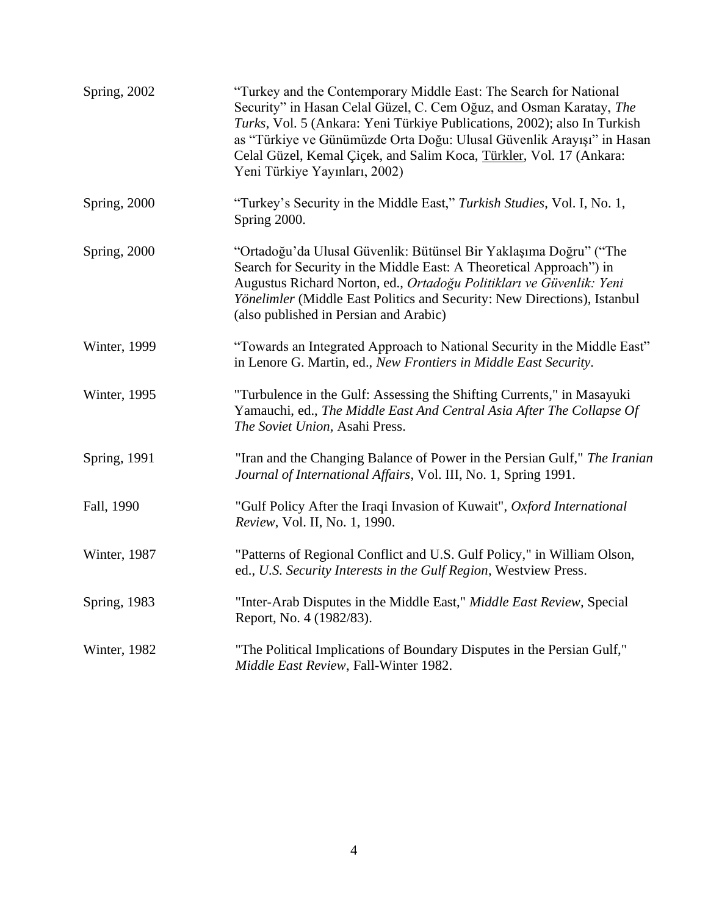| Spring, 2002         | "Turkey and the Contemporary Middle East: The Search for National<br>Security" in Hasan Celal Güzel, C. Cem Oğuz, and Osman Karatay, The<br>Turks, Vol. 5 (Ankara: Yeni Türkiye Publications, 2002); also In Turkish<br>as "Türkiye ve Günümüzde Orta Doğu: Ulusal Güvenlik Arayışı" in Hasan<br>Celal Güzel, Kemal Çiçek, and Salim Koca, Türkler, Vol. 17 (Ankara:<br>Yeni Türkiye Yayınları, 2002) |
|----------------------|-------------------------------------------------------------------------------------------------------------------------------------------------------------------------------------------------------------------------------------------------------------------------------------------------------------------------------------------------------------------------------------------------------|
| Spring, 2000         | "Turkey's Security in the Middle East," Turkish Studies, Vol. I, No. 1,<br>Spring 2000.                                                                                                                                                                                                                                                                                                               |
| Spring, 2000         | "Ortadoğu'da Ulusal Güvenlik: Bütünsel Bir Yaklaşıma Doğru" ("The<br>Search for Security in the Middle East: A Theoretical Approach") in<br>Augustus Richard Norton, ed., Ortadoğu Politikları ve Güvenlik: Yeni<br>Yönelimler (Middle East Politics and Security: New Directions), Istanbul<br>(also published in Persian and Arabic)                                                                |
| Winter, 1999         | "Towards an Integrated Approach to National Security in the Middle East"<br>in Lenore G. Martin, ed., New Frontiers in Middle East Security.                                                                                                                                                                                                                                                          |
| <b>Winter</b> , 1995 | "Turbulence in the Gulf: Assessing the Shifting Currents," in Masayuki<br>Yamauchi, ed., The Middle East And Central Asia After The Collapse Of<br>The Soviet Union, Asahi Press.                                                                                                                                                                                                                     |
| <b>Spring</b> , 1991 | "Iran and the Changing Balance of Power in the Persian Gulf," The Iranian<br>Journal of International Affairs, Vol. III, No. 1, Spring 1991.                                                                                                                                                                                                                                                          |
| Fall, 1990           | "Gulf Policy After the Iraqi Invasion of Kuwait", Oxford International<br>Review, Vol. II, No. 1, 1990.                                                                                                                                                                                                                                                                                               |
| <b>Winter</b> , 1987 | "Patterns of Regional Conflict and U.S. Gulf Policy," in William Olson,<br>ed., U.S. Security Interests in the Gulf Region, Westview Press.                                                                                                                                                                                                                                                           |
| <b>Spring</b> , 1983 | "Inter-Arab Disputes in the Middle East," Middle East Review, Special<br>Report, No. 4 (1982/83).                                                                                                                                                                                                                                                                                                     |
| Winter, 1982         | "The Political Implications of Boundary Disputes in the Persian Gulf,"<br>Middle East Review, Fall-Winter 1982.                                                                                                                                                                                                                                                                                       |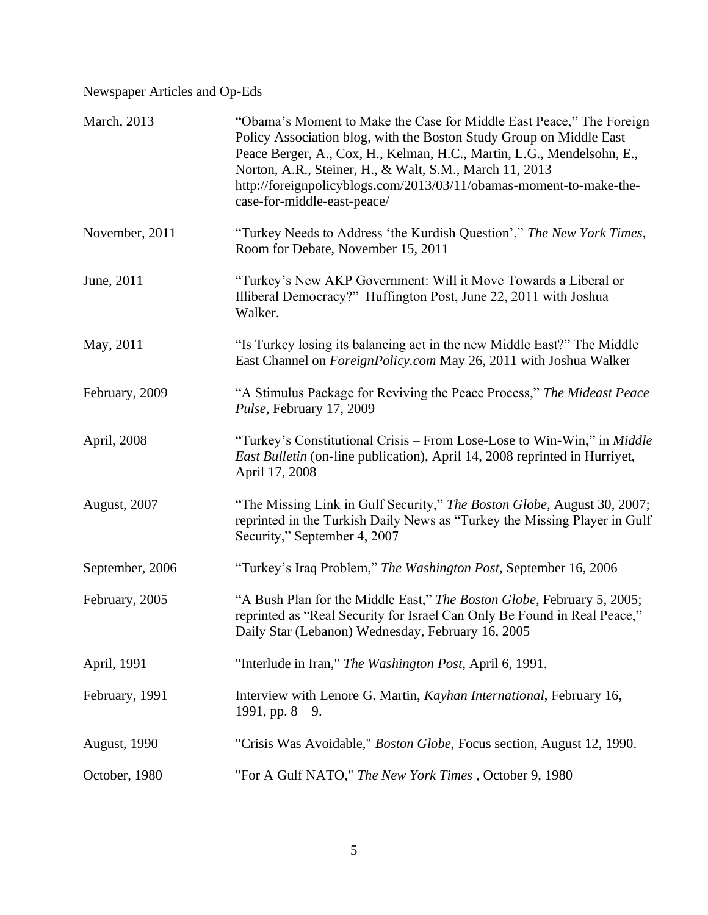## Newspaper Articles and Op-Eds

| March, 2013          | "Obama's Moment to Make the Case for Middle East Peace," The Foreign<br>Policy Association blog, with the Boston Study Group on Middle East<br>Peace Berger, A., Cox, H., Kelman, H.C., Martin, L.G., Mendelsohn, E.,<br>Norton, A.R., Steiner, H., & Walt, S.M., March 11, 2013<br>http://foreignpolicyblogs.com/2013/03/11/obamas-moment-to-make-the-<br>case-for-middle-east-peace/ |
|----------------------|----------------------------------------------------------------------------------------------------------------------------------------------------------------------------------------------------------------------------------------------------------------------------------------------------------------------------------------------------------------------------------------|
| November, 2011       | "Turkey Needs to Address 'the Kurdish Question'," The New York Times,<br>Room for Debate, November 15, 2011                                                                                                                                                                                                                                                                            |
| June, 2011           | "Turkey's New AKP Government: Will it Move Towards a Liberal or<br>Illiberal Democracy?" Huffington Post, June 22, 2011 with Joshua<br>Walker.                                                                                                                                                                                                                                         |
| May, 2011            | "Is Turkey losing its balancing act in the new Middle East?" The Middle<br>East Channel on <i>ForeignPolicy.com</i> May 26, 2011 with Joshua Walker                                                                                                                                                                                                                                    |
| February, 2009       | "A Stimulus Package for Reviving the Peace Process," The Mideast Peace<br>Pulse, February 17, 2009                                                                                                                                                                                                                                                                                     |
| April, 2008          | "Turkey's Constitutional Crisis – From Lose-Lose to Win-Win," in Middle<br>East Bulletin (on-line publication), April 14, 2008 reprinted in Hurriyet,<br>April 17, 2008                                                                                                                                                                                                                |
| <b>August</b> , 2007 | "The Missing Link in Gulf Security," The Boston Globe, August 30, 2007;<br>reprinted in the Turkish Daily News as "Turkey the Missing Player in Gulf<br>Security," September 4, 2007                                                                                                                                                                                                   |
| September, 2006      | "Turkey's Iraq Problem," The Washington Post, September 16, 2006                                                                                                                                                                                                                                                                                                                       |
| February, 2005       | "A Bush Plan for the Middle East," The Boston Globe, February 5, 2005;<br>reprinted as "Real Security for Israel Can Only Be Found in Real Peace,"<br>Daily Star (Lebanon) Wednesday, February 16, 2005                                                                                                                                                                                |
| April, 1991          | "Interlude in Iran," The Washington Post, April 6, 1991.                                                                                                                                                                                                                                                                                                                               |
| February, 1991       | Interview with Lenore G. Martin, Kayhan International, February 16,<br>1991, pp. $8 - 9$ .                                                                                                                                                                                                                                                                                             |
| <b>August, 1990</b>  | "Crisis Was Avoidable," <i>Boston Globe</i> , Focus section, August 12, 1990.                                                                                                                                                                                                                                                                                                          |
| October, 1980        | "For A Gulf NATO," The New York Times, October 9, 1980                                                                                                                                                                                                                                                                                                                                 |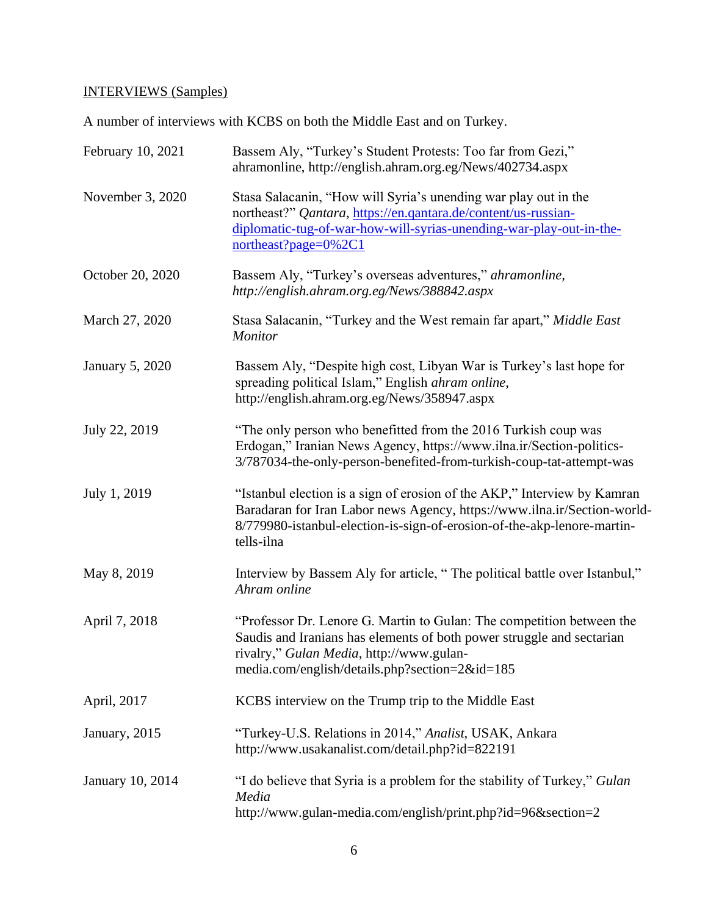# INTERVIEWS (Samples)

A number of interviews with KCBS on both the Middle East and on Turkey.

| February 10, 2021 | Bassem Aly, "Turkey's Student Protests: Too far from Gezi,"<br>ahramonline, http://english.ahram.org.eg/News/402734.aspx                                                                                                                      |
|-------------------|-----------------------------------------------------------------------------------------------------------------------------------------------------------------------------------------------------------------------------------------------|
| November 3, 2020  | Stasa Salacanin, "How will Syria's unending war play out in the<br>northeast?" Qantara, https://en.qantara.de/content/us-russian-<br>diplomatic-tug-of-war-how-will-syrias-unending-war-play-out-in-the-<br>northeast?page=0%2C1              |
| October 20, 2020  | Bassem Aly, "Turkey's overseas adventures," ahramonline,<br>http://english.ahram.org.eg/News/388842.aspx                                                                                                                                      |
| March 27, 2020    | Stasa Salacanin, "Turkey and the West remain far apart," Middle East<br><b>Monitor</b>                                                                                                                                                        |
| January 5, 2020   | Bassem Aly, "Despite high cost, Libyan War is Turkey's last hope for<br>spreading political Islam," English ahram online,<br>http://english.ahram.org.eg/News/358947.aspx                                                                     |
| July 22, 2019     | "The only person who benefitted from the 2016 Turkish coup was<br>Erdogan," Iranian News Agency, https://www.ilna.ir/Section-politics-<br>3/787034-the-only-person-benefited-from-turkish-coup-tat-attempt-was                                |
| July 1, 2019      | "Istanbul election is a sign of erosion of the AKP," Interview by Kamran<br>Baradaran for Iran Labor news Agency, https://www.ilna.ir/Section-world-<br>8/779980-istanbul-election-is-sign-of-erosion-of-the-akp-lenore-martin-<br>tells-ilna |
| May 8, 2019       | Interview by Bassem Aly for article, "The political battle over Istanbul,"<br>Ahram online                                                                                                                                                    |
| April 7, 2018     | "Professor Dr. Lenore G. Martin to Gulan: The competition between the<br>Saudis and Iranians has elements of both power struggle and sectarian<br>rivalry," Gulan Media, http://www.gulan-<br>media.com/english/details.php?section=2&id=185  |
| April, 2017       | KCBS interview on the Trump trip to the Middle East                                                                                                                                                                                           |
| January, 2015     | "Turkey-U.S. Relations in 2014," Analist, USAK, Ankara<br>http://www.usakanalist.com/detail.php?id=822191                                                                                                                                     |
| January 10, 2014  | "I do believe that Syria is a problem for the stability of Turkey," Gulan<br>Media<br>http://www.gulan-media.com/english/print.php?id=96&section=2                                                                                            |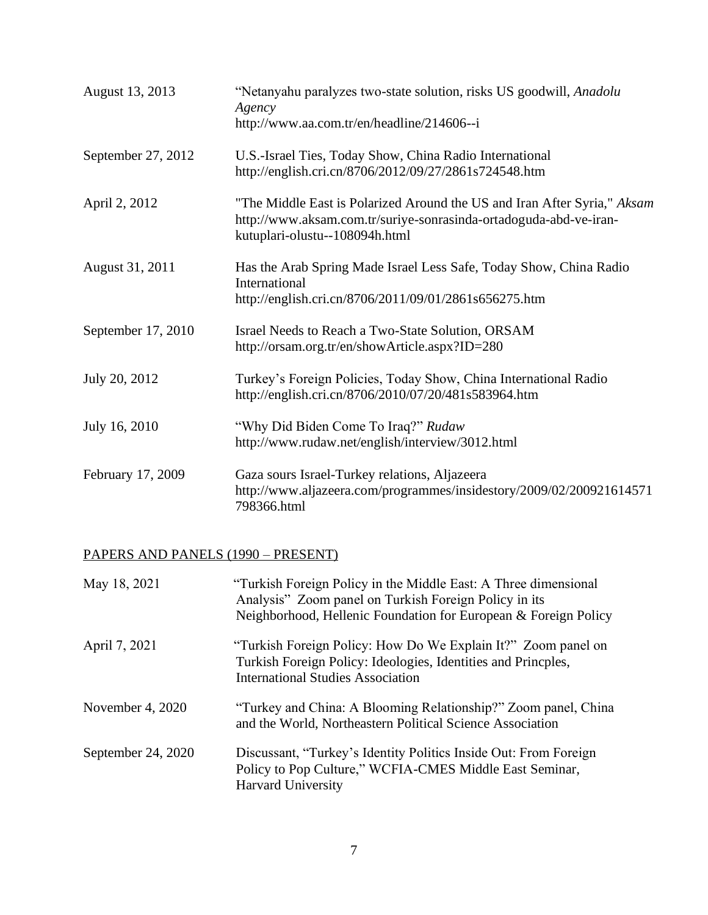| August 13, 2013    | "Netanyahu paralyzes two-state solution, risks US goodwill, Anadolu<br>Agency<br>http://www.aa.com.tr/en/headline/214606--i                                                     |
|--------------------|---------------------------------------------------------------------------------------------------------------------------------------------------------------------------------|
| September 27, 2012 | U.S.-Israel Ties, Today Show, China Radio International<br>http://english.cri.cn/8706/2012/09/27/2861s724548.htm                                                                |
| April 2, 2012      | "The Middle East is Polarized Around the US and Iran After Syria," Aksam<br>http://www.aksam.com.tr/suriye-sonrasinda-ortadoguda-abd-ve-iran-<br>kutuplari-olustu--108094h.html |
| August 31, 2011    | Has the Arab Spring Made Israel Less Safe, Today Show, China Radio<br>International<br>http://english.cri.cn/8706/2011/09/01/2861s656275.htm                                    |
| September 17, 2010 | Israel Needs to Reach a Two-State Solution, ORSAM<br>http://orsam.org.tr/en/showArticle.aspx?ID=280                                                                             |
| July 20, 2012      | Turkey's Foreign Policies, Today Show, China International Radio<br>http://english.cri.cn/8706/2010/07/20/481s583964.htm                                                        |
| July 16, 2010      | "Why Did Biden Come To Iraq?" Rudaw<br>http://www.rudaw.net/english/interview/3012.html                                                                                         |
| February 17, 2009  | Gaza sours Israel-Turkey relations, Aljazeera<br>http://www.aljazeera.com/programmes/insidestory/2009/02/200921614571<br>798366.html                                            |

## PAPERS AND PANELS (1990 – PRESENT)

| May 18, 2021       | "Turkish Foreign Policy in the Middle East: A Three dimensional<br>Analysis" Zoom panel on Turkish Foreign Policy in its<br>Neighborhood, Hellenic Foundation for European & Foreign Policy |
|--------------------|---------------------------------------------------------------------------------------------------------------------------------------------------------------------------------------------|
| April 7, 2021      | "Turkish Foreign Policy: How Do We Explain It?" Zoom panel on<br>Turkish Foreign Policy: Ideologies, Identities and Princples,<br>International Studies Association                         |
| November 4, 2020   | "Turkey and China: A Blooming Relationship?" Zoom panel, China<br>and the World, Northeastern Political Science Association                                                                 |
| September 24, 2020 | Discussant, "Turkey's Identity Politics Inside Out: From Foreign<br>Policy to Pop Culture," WCFIA-CMES Middle East Seminar,<br><b>Harvard University</b>                                    |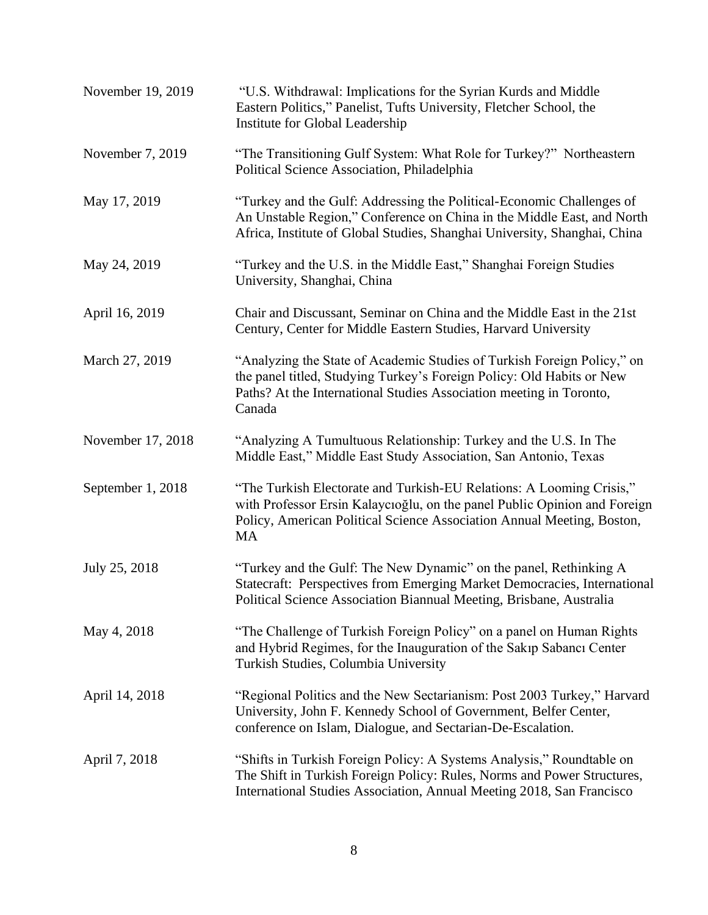| November 19, 2019 | "U.S. Withdrawal: Implications for the Syrian Kurds and Middle<br>Eastern Politics," Panelist, Tufts University, Fletcher School, the<br>Institute for Global Leadership                                                          |
|-------------------|-----------------------------------------------------------------------------------------------------------------------------------------------------------------------------------------------------------------------------------|
| November 7, 2019  | "The Transitioning Gulf System: What Role for Turkey?" Northeastern<br>Political Science Association, Philadelphia                                                                                                                |
| May 17, 2019      | "Turkey and the Gulf: Addressing the Political-Economic Challenges of<br>An Unstable Region," Conference on China in the Middle East, and North<br>Africa, Institute of Global Studies, Shanghai University, Shanghai, China      |
| May 24, 2019      | "Turkey and the U.S. in the Middle East," Shanghai Foreign Studies<br>University, Shanghai, China                                                                                                                                 |
| April 16, 2019    | Chair and Discussant, Seminar on China and the Middle East in the 21st<br>Century, Center for Middle Eastern Studies, Harvard University                                                                                          |
| March 27, 2019    | "Analyzing the State of Academic Studies of Turkish Foreign Policy," on<br>the panel titled, Studying Turkey's Foreign Policy: Old Habits or New<br>Paths? At the International Studies Association meeting in Toronto,<br>Canada |
| November 17, 2018 | "Analyzing A Tumultuous Relationship: Turkey and the U.S. In The<br>Middle East," Middle East Study Association, San Antonio, Texas                                                                                               |
| September 1, 2018 | "The Turkish Electorate and Turkish-EU Relations: A Looming Crisis,"<br>with Professor Ersin Kalaycıoğlu, on the panel Public Opinion and Foreign<br>Policy, American Political Science Association Annual Meeting, Boston,<br>MA |
| July 25, 2018     | "Turkey and the Gulf: The New Dynamic" on the panel, Rethinking A<br>Statecraft: Perspectives from Emerging Market Democracies, International<br>Political Science Association Biannual Meeting, Brisbane, Australia              |
| May 4, 2018       | "The Challenge of Turkish Foreign Policy" on a panel on Human Rights<br>and Hybrid Regimes, for the Inauguration of the Sakıp Sabancı Center<br>Turkish Studies, Columbia University                                              |
| April 14, 2018    | "Regional Politics and the New Sectarianism: Post 2003 Turkey," Harvard<br>University, John F. Kennedy School of Government, Belfer Center,<br>conference on Islam, Dialogue, and Sectarian-De-Escalation.                        |
| April 7, 2018     | "Shifts in Turkish Foreign Policy: A Systems Analysis," Roundtable on<br>The Shift in Turkish Foreign Policy: Rules, Norms and Power Structures,<br>International Studies Association, Annual Meeting 2018, San Francisco         |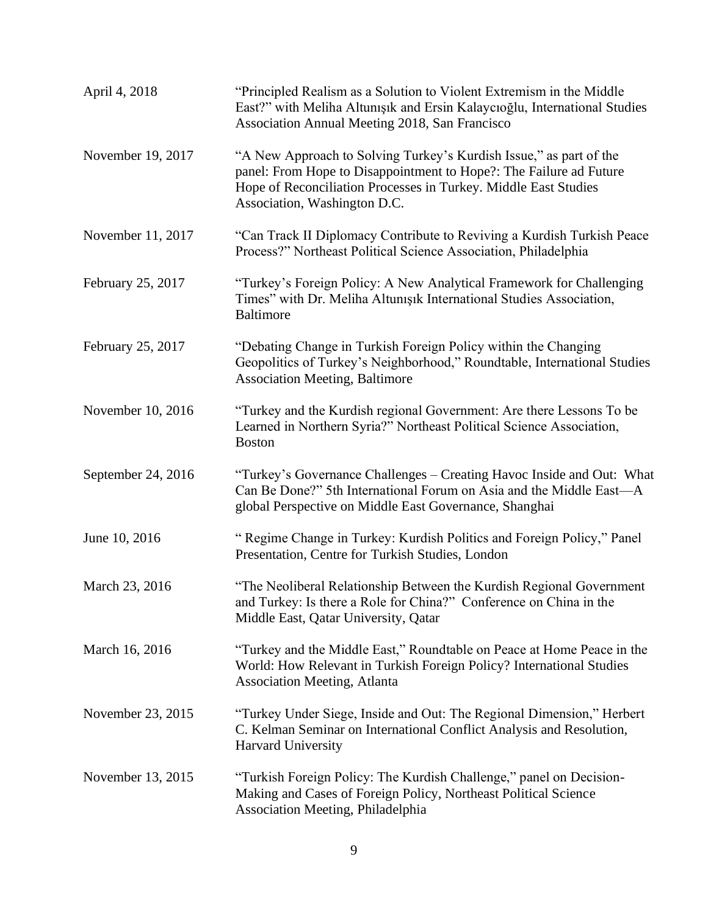| April 4, 2018      | "Principled Realism as a Solution to Violent Extremism in the Middle<br>East?" with Meliha Altunışık and Ersin Kalaycıoğlu, International Studies<br>Association Annual Meeting 2018, San Francisco                                         |
|--------------------|---------------------------------------------------------------------------------------------------------------------------------------------------------------------------------------------------------------------------------------------|
| November 19, 2017  | "A New Approach to Solving Turkey's Kurdish Issue," as part of the<br>panel: From Hope to Disappointment to Hope?: The Failure ad Future<br>Hope of Reconciliation Processes in Turkey. Middle East Studies<br>Association, Washington D.C. |
| November 11, 2017  | "Can Track II Diplomacy Contribute to Reviving a Kurdish Turkish Peace<br>Process?" Northeast Political Science Association, Philadelphia                                                                                                   |
| February 25, 2017  | "Turkey's Foreign Policy: A New Analytical Framework for Challenging<br>Times" with Dr. Meliha Altunişik International Studies Association,<br><b>Baltimore</b>                                                                             |
| February 25, 2017  | "Debating Change in Turkish Foreign Policy within the Changing<br>Geopolitics of Turkey's Neighborhood," Roundtable, International Studies<br><b>Association Meeting, Baltimore</b>                                                         |
| November 10, 2016  | "Turkey and the Kurdish regional Government: Are there Lessons To be<br>Learned in Northern Syria?" Northeast Political Science Association,<br><b>Boston</b>                                                                               |
| September 24, 2016 | "Turkey's Governance Challenges – Creating Havoc Inside and Out: What<br>Can Be Done?" 5th International Forum on Asia and the Middle East—A<br>global Perspective on Middle East Governance, Shanghai                                      |
| June 10, 2016      | "Regime Change in Turkey: Kurdish Politics and Foreign Policy," Panel<br>Presentation, Centre for Turkish Studies, London                                                                                                                   |
| March 23, 2016     | "The Neoliberal Relationship Between the Kurdish Regional Government<br>and Turkey: Is there a Role for China?" Conference on China in the<br>Middle East, Qatar University, Qatar                                                          |
| March 16, 2016     | "Turkey and the Middle East," Roundtable on Peace at Home Peace in the<br>World: How Relevant in Turkish Foreign Policy? International Studies<br><b>Association Meeting, Atlanta</b>                                                       |
| November 23, 2015  | "Turkey Under Siege, Inside and Out: The Regional Dimension," Herbert<br>C. Kelman Seminar on International Conflict Analysis and Resolution,<br>Harvard University                                                                         |
| November 13, 2015  | "Turkish Foreign Policy: The Kurdish Challenge," panel on Decision-<br>Making and Cases of Foreign Policy, Northeast Political Science<br>Association Meeting, Philadelphia                                                                 |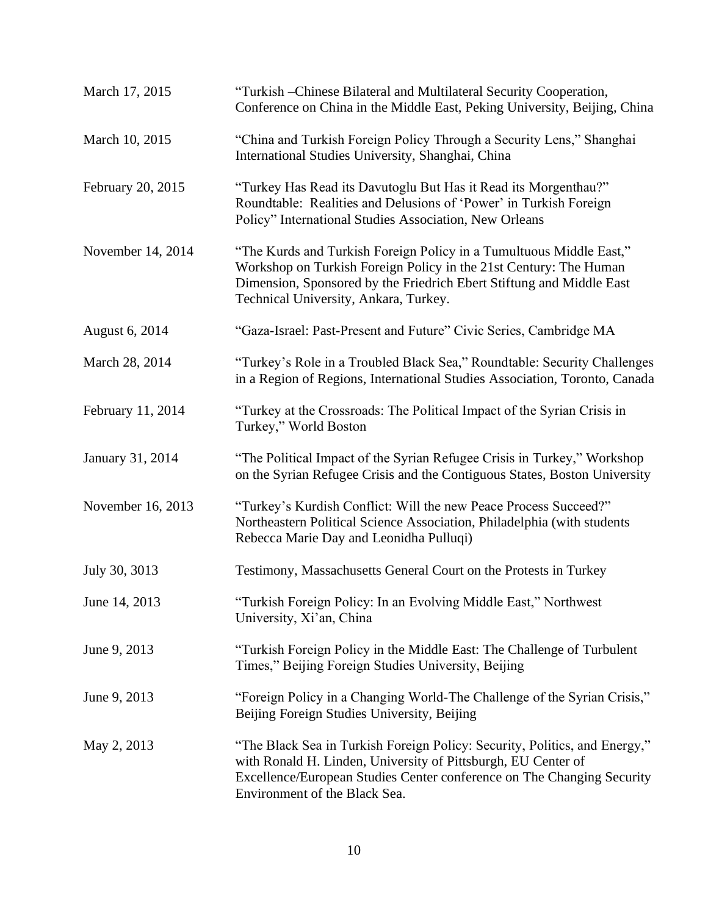| March 17, 2015    | "Turkish – Chinese Bilateral and Multilateral Security Cooperation,<br>Conference on China in the Middle East, Peking University, Beijing, China                                                                                                          |
|-------------------|-----------------------------------------------------------------------------------------------------------------------------------------------------------------------------------------------------------------------------------------------------------|
| March 10, 2015    | "China and Turkish Foreign Policy Through a Security Lens," Shanghai<br>International Studies University, Shanghai, China                                                                                                                                 |
| February 20, 2015 | "Turkey Has Read its Davutoglu But Has it Read its Morgenthau?"<br>Roundtable: Realities and Delusions of 'Power' in Turkish Foreign<br>Policy" International Studies Association, New Orleans                                                            |
| November 14, 2014 | "The Kurds and Turkish Foreign Policy in a Tumultuous Middle East,"<br>Workshop on Turkish Foreign Policy in the 21st Century: The Human<br>Dimension, Sponsored by the Friedrich Ebert Stiftung and Middle East<br>Technical University, Ankara, Turkey. |
| August 6, 2014    | "Gaza-Israel: Past-Present and Future" Civic Series, Cambridge MA                                                                                                                                                                                         |
| March 28, 2014    | "Turkey's Role in a Troubled Black Sea," Roundtable: Security Challenges<br>in a Region of Regions, International Studies Association, Toronto, Canada                                                                                                    |
| February 11, 2014 | "Turkey at the Crossroads: The Political Impact of the Syrian Crisis in<br>Turkey," World Boston                                                                                                                                                          |
| January 31, 2014  | "The Political Impact of the Syrian Refugee Crisis in Turkey," Workshop<br>on the Syrian Refugee Crisis and the Contiguous States, Boston University                                                                                                      |
| November 16, 2013 | "Turkey's Kurdish Conflict: Will the new Peace Process Succeed?"<br>Northeastern Political Science Association, Philadelphia (with students<br>Rebecca Marie Day and Leonidha Pulluqi)                                                                    |
| July 30, 3013     | Testimony, Massachusetts General Court on the Protests in Turkey                                                                                                                                                                                          |
| June 14, 2013     | "Turkish Foreign Policy: In an Evolving Middle East," Northwest<br>University, Xi'an, China                                                                                                                                                               |
| June 9, 2013      | "Turkish Foreign Policy in the Middle East: The Challenge of Turbulent<br>Times," Beijing Foreign Studies University, Beijing                                                                                                                             |
| June 9, 2013      | "Foreign Policy in a Changing World-The Challenge of the Syrian Crisis,"<br>Beijing Foreign Studies University, Beijing                                                                                                                                   |
| May 2, 2013       | "The Black Sea in Turkish Foreign Policy: Security, Politics, and Energy,"<br>with Ronald H. Linden, University of Pittsburgh, EU Center of<br>Excellence/European Studies Center conference on The Changing Security<br>Environment of the Black Sea.    |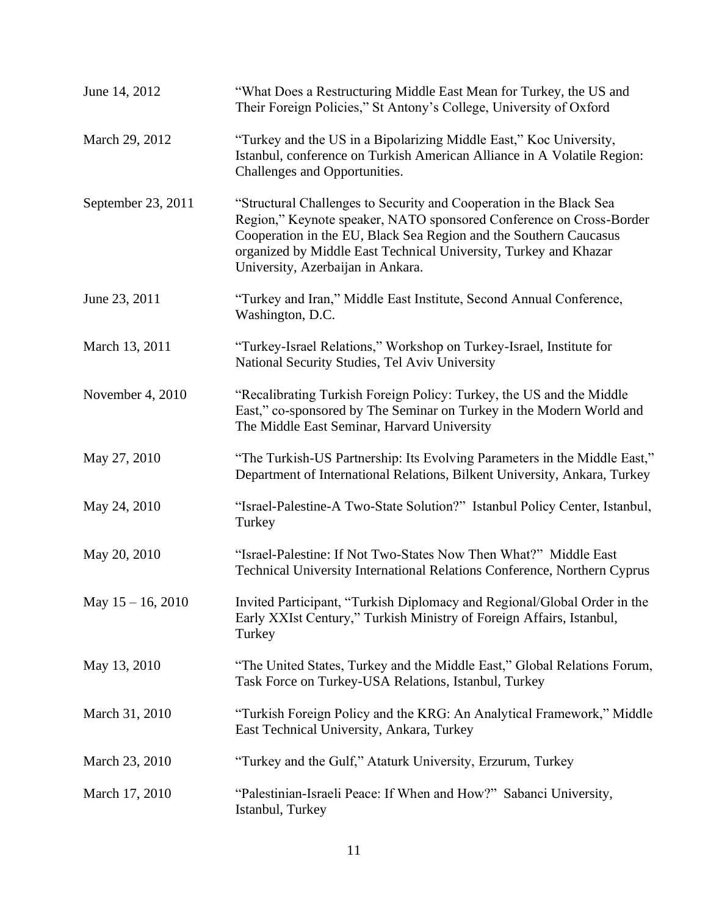| June 14, 2012        | "What Does a Restructuring Middle East Mean for Turkey, the US and<br>Their Foreign Policies," St Antony's College, University of Oxford                                                                                                                                                                                 |
|----------------------|--------------------------------------------------------------------------------------------------------------------------------------------------------------------------------------------------------------------------------------------------------------------------------------------------------------------------|
| March 29, 2012       | "Turkey and the US in a Bipolarizing Middle East," Koc University,<br>Istanbul, conference on Turkish American Alliance in A Volatile Region:<br>Challenges and Opportunities.                                                                                                                                           |
| September 23, 2011   | "Structural Challenges to Security and Cooperation in the Black Sea<br>Region," Keynote speaker, NATO sponsored Conference on Cross-Border<br>Cooperation in the EU, Black Sea Region and the Southern Caucasus<br>organized by Middle East Technical University, Turkey and Khazar<br>University, Azerbaijan in Ankara. |
| June 23, 2011        | "Turkey and Iran," Middle East Institute, Second Annual Conference,<br>Washington, D.C.                                                                                                                                                                                                                                  |
| March 13, 2011       | "Turkey-Israel Relations," Workshop on Turkey-Israel, Institute for<br>National Security Studies, Tel Aviv University                                                                                                                                                                                                    |
| November 4, 2010     | "Recalibrating Turkish Foreign Policy: Turkey, the US and the Middle<br>East," co-sponsored by The Seminar on Turkey in the Modern World and<br>The Middle East Seminar, Harvard University                                                                                                                              |
| May 27, 2010         | "The Turkish-US Partnership: Its Evolving Parameters in the Middle East,"<br>Department of International Relations, Bilkent University, Ankara, Turkey                                                                                                                                                                   |
| May 24, 2010         | "Israel-Palestine-A Two-State Solution?" Istanbul Policy Center, Istanbul,<br>Turkey                                                                                                                                                                                                                                     |
| May 20, 2010         | "Israel-Palestine: If Not Two-States Now Then What?" Middle East<br>Technical University International Relations Conference, Northern Cyprus                                                                                                                                                                             |
| May $15 - 16$ , 2010 | Invited Participant, "Turkish Diplomacy and Regional/Global Order in the<br>Early XXIst Century," Turkish Ministry of Foreign Affairs, Istanbul,<br>Turkey                                                                                                                                                               |
| May 13, 2010         | "The United States, Turkey and the Middle East," Global Relations Forum,<br>Task Force on Turkey-USA Relations, Istanbul, Turkey                                                                                                                                                                                         |
| March 31, 2010       | "Turkish Foreign Policy and the KRG: An Analytical Framework," Middle<br>East Technical University, Ankara, Turkey                                                                                                                                                                                                       |
| March 23, 2010       | "Turkey and the Gulf," Ataturk University, Erzurum, Turkey                                                                                                                                                                                                                                                               |
| March 17, 2010       | "Palestinian-Israeli Peace: If When and How?" Sabanci University,<br>Istanbul, Turkey                                                                                                                                                                                                                                    |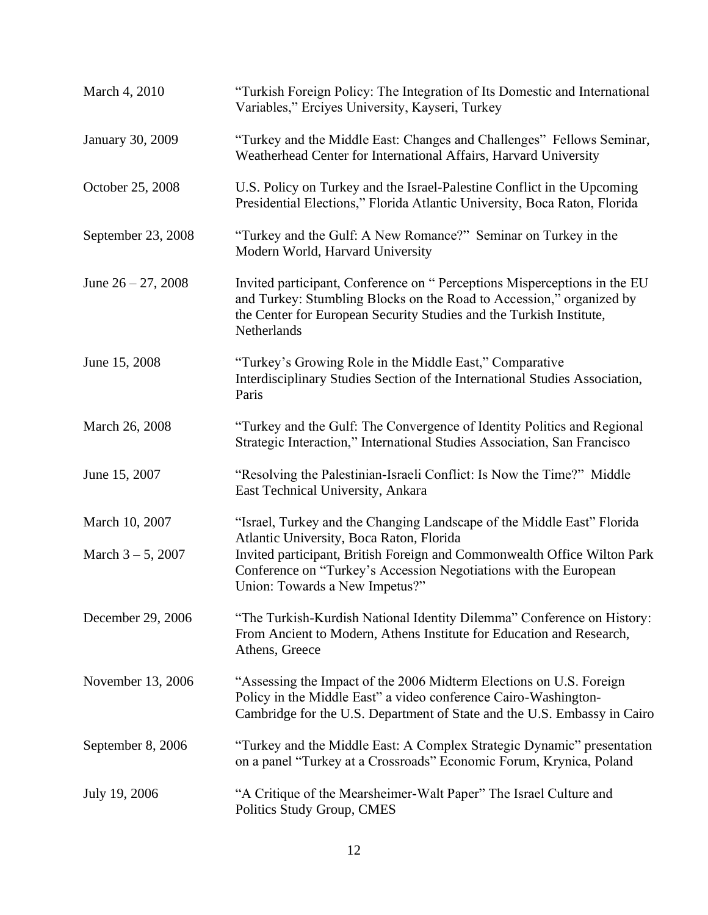| March 4, 2010         | "Turkish Foreign Policy: The Integration of Its Domestic and International<br>Variables," Erciyes University, Kayseri, Turkey                                                                                                          |
|-----------------------|----------------------------------------------------------------------------------------------------------------------------------------------------------------------------------------------------------------------------------------|
| January 30, 2009      | "Turkey and the Middle East: Changes and Challenges" Fellows Seminar,<br>Weatherhead Center for International Affairs, Harvard University                                                                                              |
| October 25, 2008      | U.S. Policy on Turkey and the Israel-Palestine Conflict in the Upcoming<br>Presidential Elections," Florida Atlantic University, Boca Raton, Florida                                                                                   |
| September 23, 2008    | "Turkey and the Gulf: A New Romance?" Seminar on Turkey in the<br>Modern World, Harvard University                                                                                                                                     |
| June $26 - 27$ , 2008 | Invited participant, Conference on "Perceptions Misperceptions in the EU<br>and Turkey: Stumbling Blocks on the Road to Accession," organized by<br>the Center for European Security Studies and the Turkish Institute,<br>Netherlands |
| June 15, 2008         | "Turkey's Growing Role in the Middle East," Comparative<br>Interdisciplinary Studies Section of the International Studies Association,<br>Paris                                                                                        |
| March 26, 2008        | "Turkey and the Gulf: The Convergence of Identity Politics and Regional<br>Strategic Interaction," International Studies Association, San Francisco                                                                                    |
| June 15, 2007         | "Resolving the Palestinian-Israeli Conflict: Is Now the Time?" Middle<br>East Technical University, Ankara                                                                                                                             |
| March 10, 2007        | "Israel, Turkey and the Changing Landscape of the Middle East" Florida<br>Atlantic University, Boca Raton, Florida                                                                                                                     |
| March $3 - 5$ , 2007  | Invited participant, British Foreign and Commonwealth Office Wilton Park<br>Conference on "Turkey's Accession Negotiations with the European<br>Union: Towards a New Impetus?"                                                         |
| December 29, 2006     | "The Turkish-Kurdish National Identity Dilemma" Conference on History:<br>From Ancient to Modern, Athens Institute for Education and Research,<br>Athens, Greece                                                                       |
| November 13, 2006     | "Assessing the Impact of the 2006 Midterm Elections on U.S. Foreign<br>Policy in the Middle East" a video conference Cairo-Washington-<br>Cambridge for the U.S. Department of State and the U.S. Embassy in Cairo                     |
| September 8, 2006     | "Turkey and the Middle East: A Complex Strategic Dynamic" presentation<br>on a panel "Turkey at a Crossroads" Economic Forum, Krynica, Poland                                                                                          |
| July 19, 2006         | "A Critique of the Mearsheimer-Walt Paper" The Israel Culture and<br>Politics Study Group, CMES                                                                                                                                        |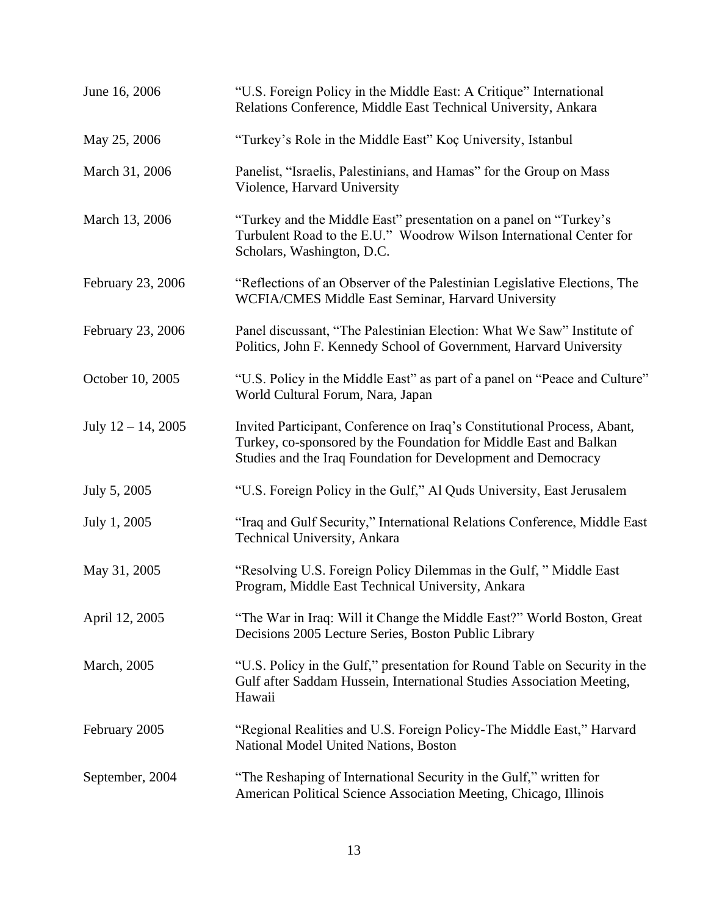| June 16, 2006         | "U.S. Foreign Policy in the Middle East: A Critique" International<br>Relations Conference, Middle East Technical University, Ankara                                                                           |
|-----------------------|----------------------------------------------------------------------------------------------------------------------------------------------------------------------------------------------------------------|
| May 25, 2006          | "Turkey's Role in the Middle East" Koç University, Istanbul                                                                                                                                                    |
| March 31, 2006        | Panelist, "Israelis, Palestinians, and Hamas" for the Group on Mass<br>Violence, Harvard University                                                                                                            |
| March 13, 2006        | "Turkey and the Middle East" presentation on a panel on "Turkey's<br>Turbulent Road to the E.U." Woodrow Wilson International Center for<br>Scholars, Washington, D.C.                                         |
| February 23, 2006     | "Reflections of an Observer of the Palestinian Legislative Elections, The<br>WCFIA/CMES Middle East Seminar, Harvard University                                                                                |
| February 23, 2006     | Panel discussant, "The Palestinian Election: What We Saw" Institute of<br>Politics, John F. Kennedy School of Government, Harvard University                                                                   |
| October 10, 2005      | "U.S. Policy in the Middle East" as part of a panel on "Peace and Culture"<br>World Cultural Forum, Nara, Japan                                                                                                |
| July $12 - 14$ , 2005 | Invited Participant, Conference on Iraq's Constitutional Process, Abant,<br>Turkey, co-sponsored by the Foundation for Middle East and Balkan<br>Studies and the Iraq Foundation for Development and Democracy |
| July 5, 2005          | "U.S. Foreign Policy in the Gulf," Al Quds University, East Jerusalem                                                                                                                                          |
| July 1, 2005          | "Iraq and Gulf Security," International Relations Conference, Middle East<br>Technical University, Ankara                                                                                                      |
| May 31, 2005          | "Resolving U.S. Foreign Policy Dilemmas in the Gulf, " Middle East<br>Program, Middle East Technical University, Ankara                                                                                        |
| April 12, 2005        | "The War in Iraq: Will it Change the Middle East?" World Boston, Great<br>Decisions 2005 Lecture Series, Boston Public Library                                                                                 |
| March, 2005           | "U.S. Policy in the Gulf," presentation for Round Table on Security in the<br>Gulf after Saddam Hussein, International Studies Association Meeting,<br>Hawaii                                                  |
| February 2005         | "Regional Realities and U.S. Foreign Policy-The Middle East," Harvard<br>National Model United Nations, Boston                                                                                                 |
| September, 2004       | "The Reshaping of International Security in the Gulf," written for<br>American Political Science Association Meeting, Chicago, Illinois                                                                        |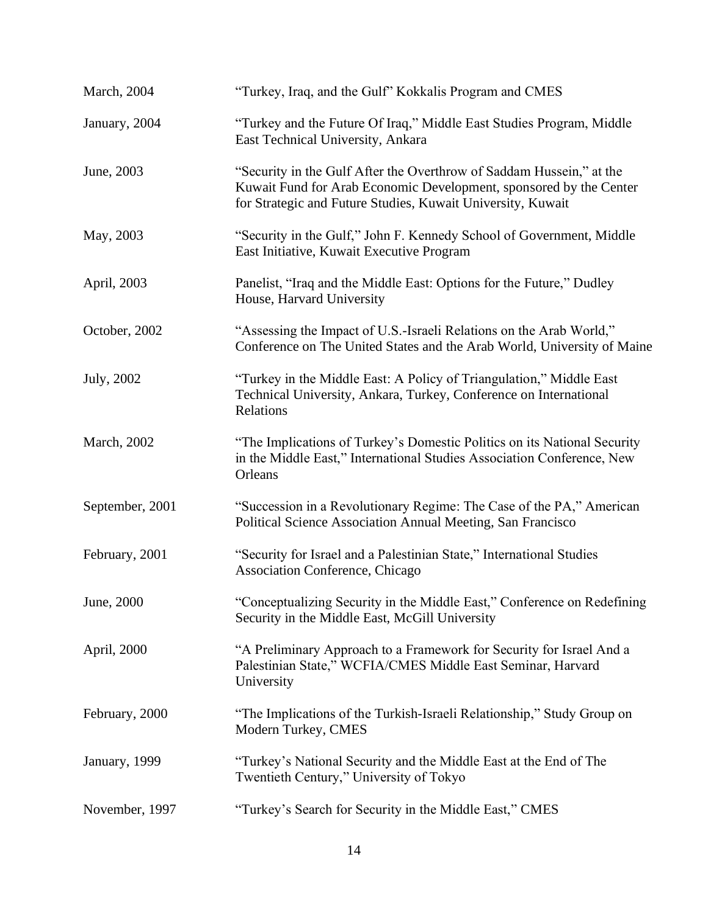| March, 2004         | "Turkey, Iraq, and the Gulf" Kokkalis Program and CMES                                                                                                                                                    |
|---------------------|-----------------------------------------------------------------------------------------------------------------------------------------------------------------------------------------------------------|
| January, 2004       | "Turkey and the Future Of Iraq," Middle East Studies Program, Middle<br>East Technical University, Ankara                                                                                                 |
| June, 2003          | "Security in the Gulf After the Overthrow of Saddam Hussein," at the<br>Kuwait Fund for Arab Economic Development, sponsored by the Center<br>for Strategic and Future Studies, Kuwait University, Kuwait |
| May, 2003           | "Security in the Gulf," John F. Kennedy School of Government, Middle<br>East Initiative, Kuwait Executive Program                                                                                         |
| April, 2003         | Panelist, "Iraq and the Middle East: Options for the Future," Dudley<br>House, Harvard University                                                                                                         |
| October, 2002       | "Assessing the Impact of U.S.-Israeli Relations on the Arab World,"<br>Conference on The United States and the Arab World, University of Maine                                                            |
| July, 2002          | "Turkey in the Middle East: A Policy of Triangulation," Middle East<br>Technical University, Ankara, Turkey, Conference on International<br>Relations                                                     |
| <b>March</b> , 2002 | "The Implications of Turkey's Domestic Politics on its National Security<br>in the Middle East," International Studies Association Conference, New<br>Orleans                                             |
| September, 2001     | "Succession in a Revolutionary Regime: The Case of the PA," American<br>Political Science Association Annual Meeting, San Francisco                                                                       |
| February, 2001      | "Security for Israel and a Palestinian State," International Studies<br><b>Association Conference, Chicago</b>                                                                                            |
| June, 2000          | "Conceptualizing Security in the Middle East," Conference on Redefining<br>Security in the Middle East, McGill University                                                                                 |
| April, 2000         | "A Preliminary Approach to a Framework for Security for Israel And a<br>Palestinian State," WCFIA/CMES Middle East Seminar, Harvard<br>University                                                         |
| February, 2000      | "The Implications of the Turkish-Israeli Relationship," Study Group on<br>Modern Turkey, CMES                                                                                                             |
| January, 1999       | "Turkey's National Security and the Middle East at the End of The<br>Twentieth Century," University of Tokyo                                                                                              |
| November, 1997      | "Turkey's Search for Security in the Middle East," CMES                                                                                                                                                   |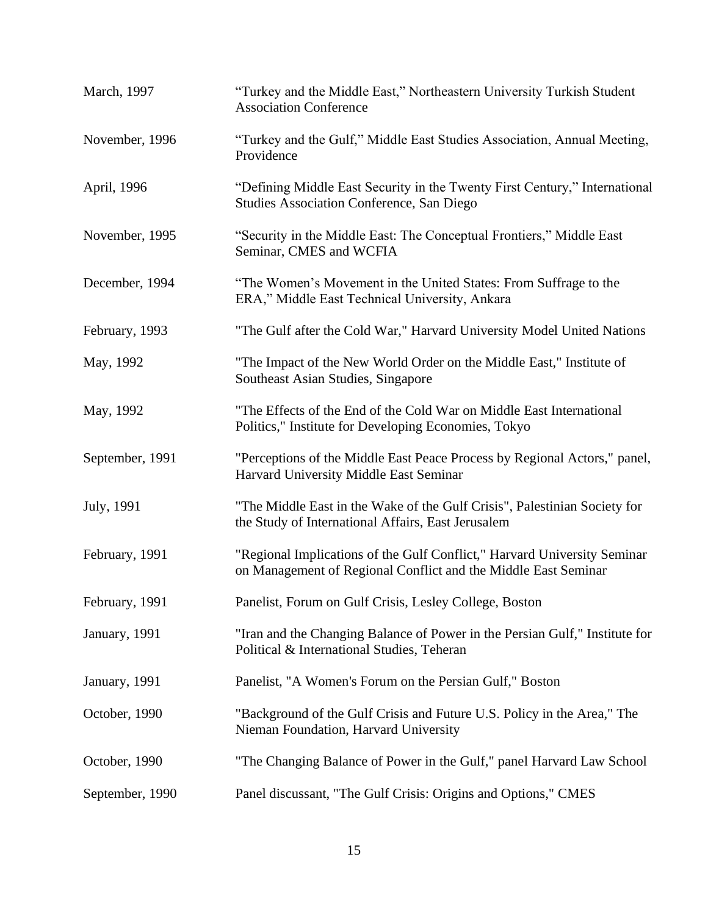| March, 1997     | "Turkey and the Middle East," Northeastern University Turkish Student<br><b>Association Conference</b>                                     |
|-----------------|--------------------------------------------------------------------------------------------------------------------------------------------|
| November, 1996  | "Turkey and the Gulf," Middle East Studies Association, Annual Meeting,<br>Providence                                                      |
| April, 1996     | "Defining Middle East Security in the Twenty First Century," International<br><b>Studies Association Conference, San Diego</b>             |
| November, 1995  | "Security in the Middle East: The Conceptual Frontiers," Middle East<br>Seminar, CMES and WCFIA                                            |
| December, 1994  | "The Women's Movement in the United States: From Suffrage to the<br>ERA," Middle East Technical University, Ankara                         |
| February, 1993  | "The Gulf after the Cold War," Harvard University Model United Nations                                                                     |
| May, 1992       | "The Impact of the New World Order on the Middle East," Institute of<br>Southeast Asian Studies, Singapore                                 |
| May, 1992       | "The Effects of the End of the Cold War on Middle East International<br>Politics," Institute for Developing Economies, Tokyo               |
| September, 1991 | "Perceptions of the Middle East Peace Process by Regional Actors," panel,<br>Harvard University Middle East Seminar                        |
| July, 1991      | "The Middle East in the Wake of the Gulf Crisis", Palestinian Society for<br>the Study of International Affairs, East Jerusalem            |
| February, 1991  | "Regional Implications of the Gulf Conflict," Harvard University Seminar<br>on Management of Regional Conflict and the Middle East Seminar |
| February, 1991  | Panelist, Forum on Gulf Crisis, Lesley College, Boston                                                                                     |
| January, 1991   | "Iran and the Changing Balance of Power in the Persian Gulf," Institute for<br>Political & International Studies, Teheran                  |
| January, 1991   | Panelist, "A Women's Forum on the Persian Gulf," Boston                                                                                    |
| October, 1990   | "Background of the Gulf Crisis and Future U.S. Policy in the Area," The<br>Nieman Foundation, Harvard University                           |
| October, 1990   | "The Changing Balance of Power in the Gulf," panel Harvard Law School                                                                      |
| September, 1990 | Panel discussant, "The Gulf Crisis: Origins and Options," CMES                                                                             |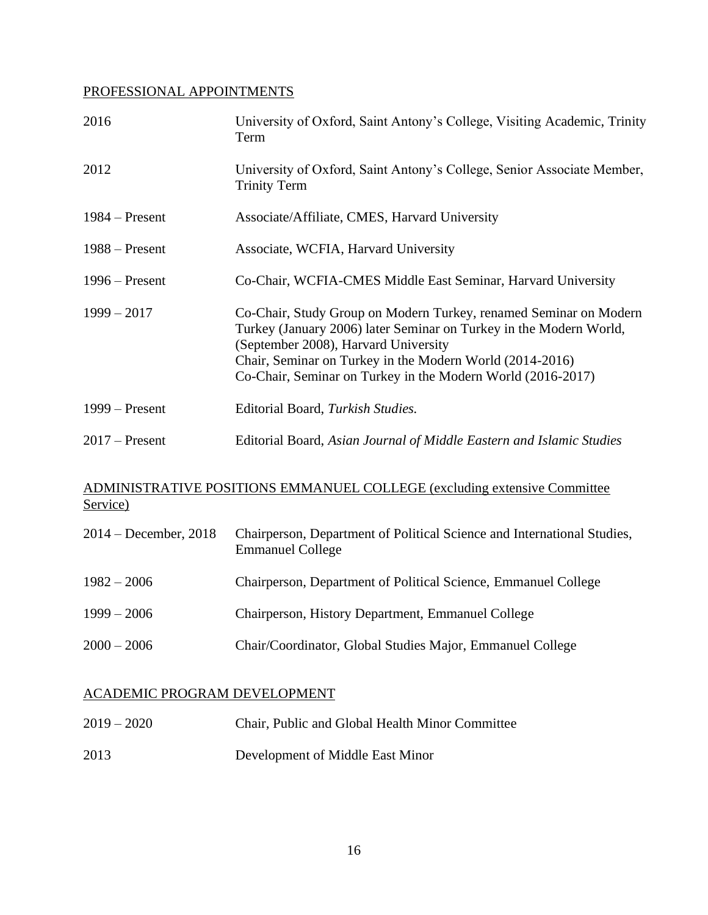## PROFESSIONAL APPOINTMENTS

| 2016             | University of Oxford, Saint Antony's College, Visiting Academic, Trinity<br>Term                                                                                                                                                                                                                           |
|------------------|------------------------------------------------------------------------------------------------------------------------------------------------------------------------------------------------------------------------------------------------------------------------------------------------------------|
| 2012             | University of Oxford, Saint Antony's College, Senior Associate Member,<br><b>Trinity Term</b>                                                                                                                                                                                                              |
| $1984 -$ Present | Associate/Affiliate, CMES, Harvard University                                                                                                                                                                                                                                                              |
| $1988 -$ Present | Associate, WCFIA, Harvard University                                                                                                                                                                                                                                                                       |
| $1996 -$ Present | Co-Chair, WCFIA-CMES Middle East Seminar, Harvard University                                                                                                                                                                                                                                               |
| $1999 - 2017$    | Co-Chair, Study Group on Modern Turkey, renamed Seminar on Modern<br>Turkey (January 2006) later Seminar on Turkey in the Modern World,<br>(September 2008), Harvard University<br>Chair, Seminar on Turkey in the Modern World (2014-2016)<br>Co-Chair, Seminar on Turkey in the Modern World (2016-2017) |
| $1999 -$ Present | Editorial Board, Turkish Studies.                                                                                                                                                                                                                                                                          |
| $2017$ – Present | Editorial Board, Asian Journal of Middle Eastern and Islamic Studies                                                                                                                                                                                                                                       |

## ADMINISTRATIVE POSITIONS EMMANUEL COLLEGE (excluding extensive Committee Service)

| 2014 – December, 2018 | Chairperson, Department of Political Science and International Studies,<br><b>Emmanuel College</b> |
|-----------------------|----------------------------------------------------------------------------------------------------|
| $1982 - 2006$         | Chairperson, Department of Political Science, Emmanuel College                                     |
| $1999 - 2006$         | Chairperson, History Department, Emmanuel College                                                  |
| $2000 - 2006$         | Chair/Coordinator, Global Studies Major, Emmanuel College                                          |

### ACADEMIC PROGRAM DEVELOPMENT

| $2019 - 2020$ | Chair, Public and Global Health Minor Committee |
|---------------|-------------------------------------------------|
| 2013          | Development of Middle East Minor                |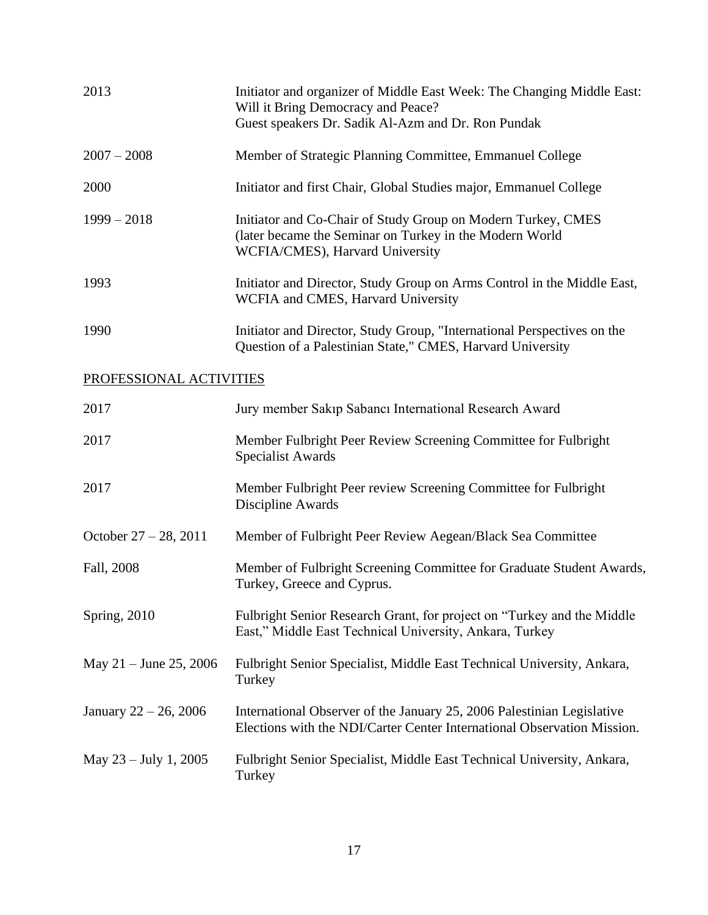| 2013                     | Initiator and organizer of Middle East Week: The Changing Middle East:<br>Will it Bring Democracy and Peace?<br>Guest speakers Dr. Sadik Al-Azm and Dr. Ron Pundak |
|--------------------------|--------------------------------------------------------------------------------------------------------------------------------------------------------------------|
| $2007 - 2008$            | Member of Strategic Planning Committee, Emmanuel College                                                                                                           |
| 2000                     | Initiator and first Chair, Global Studies major, Emmanuel College                                                                                                  |
| $1999 - 2018$            | Initiator and Co-Chair of Study Group on Modern Turkey, CMES<br>(later became the Seminar on Turkey in the Modern World<br>WCFIA/CMES), Harvard University         |
| 1993                     | Initiator and Director, Study Group on Arms Control in the Middle East,<br>WCFIA and CMES, Harvard University                                                      |
| 1990                     | Initiator and Director, Study Group, "International Perspectives on the<br>Question of a Palestinian State," CMES, Harvard University                              |
| PROFESSIONAL ACTIVITIES  |                                                                                                                                                                    |
| 2017                     | Jury member Sakıp Sabancı International Research Award                                                                                                             |
| 2017                     | Member Fulbright Peer Review Screening Committee for Fulbright<br><b>Specialist Awards</b>                                                                         |
| 2017                     | Member Fulbright Peer review Screening Committee for Fulbright<br>Discipline Awards                                                                                |
| October $27 - 28$ , 2011 | Member of Fulbright Peer Review Aegean/Black Sea Committee                                                                                                         |
| Fall, 2008               | Member of Fulbright Screening Committee for Graduate Student Awards,<br>Turkey, Greece and Cyprus.                                                                 |
| Spring, 2010             | Fulbright Senior Research Grant, for project on "Turkey and the Middle"<br>East," Middle East Technical University, Ankara, Turkey                                 |
| May $21 -$ June 25, 2006 | Fulbright Senior Specialist, Middle East Technical University, Ankara,<br>Turkey                                                                                   |
| January $22 - 26$ , 2006 | International Observer of the January 25, 2006 Palestinian Legislative<br>Elections with the NDI/Carter Center International Observation Mission.                  |
| May $23 - July 1, 2005$  | Fulbright Senior Specialist, Middle East Technical University, Ankara,<br>Turkey                                                                                   |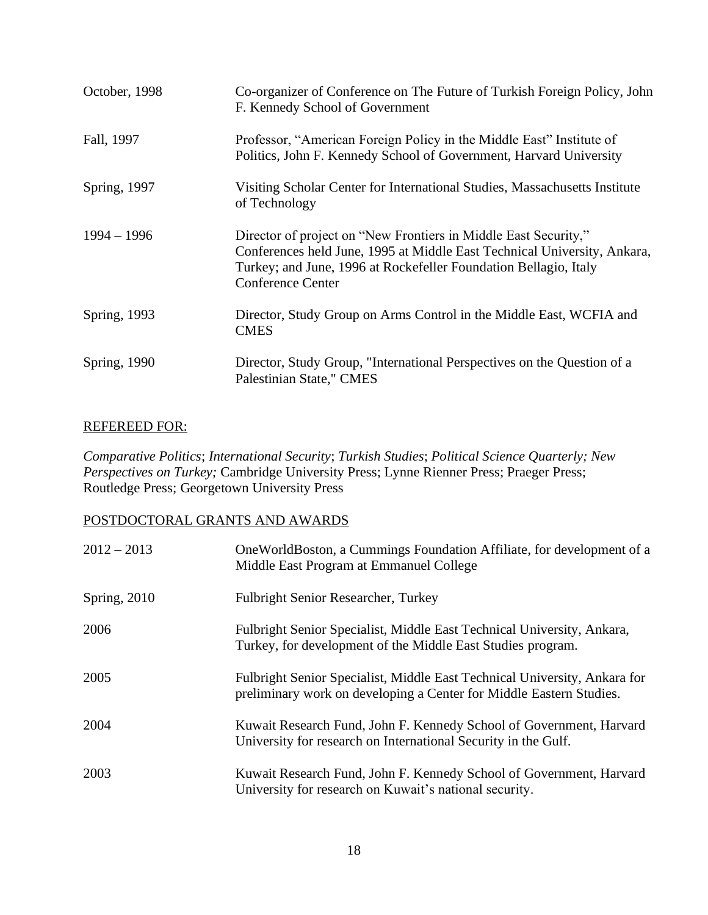| October, 1998 | Co-organizer of Conference on The Future of Turkish Foreign Policy, John<br>F. Kennedy School of Government                                                                                                                                 |
|---------------|---------------------------------------------------------------------------------------------------------------------------------------------------------------------------------------------------------------------------------------------|
| Fall, 1997    | Professor, "American Foreign Policy in the Middle East" Institute of<br>Politics, John F. Kennedy School of Government, Harvard University                                                                                                  |
| Spring, 1997  | Visiting Scholar Center for International Studies, Massachusetts Institute<br>of Technology                                                                                                                                                 |
| $1994 - 1996$ | Director of project on "New Frontiers in Middle East Security,"<br>Conferences held June, 1995 at Middle East Technical University, Ankara,<br>Turkey; and June, 1996 at Rockefeller Foundation Bellagio, Italy<br><b>Conference Center</b> |
| Spring, 1993  | Director, Study Group on Arms Control in the Middle East, WCFIA and<br><b>CMES</b>                                                                                                                                                          |
| Spring, 1990  | Director, Study Group, "International Perspectives on the Question of a<br>Palestinian State," CMES                                                                                                                                         |

### REFEREED FOR:

*Comparative Politics*; *International Security*; *Turkish Studies*; *Political Science Quarterly; New Perspectives on Turkey;* Cambridge University Press; Lynne Rienner Press; Praeger Press; Routledge Press; Georgetown University Press

### POSTDOCTORAL GRANTS AND AWARDS

| $2012 - 2013$ | One World Boston, a Cummings Foundation Affiliate, for development of a<br>Middle East Program at Emmanuel College                               |
|---------------|--------------------------------------------------------------------------------------------------------------------------------------------------|
| Spring, 2010  | <b>Fulbright Senior Researcher, Turkey</b>                                                                                                       |
| 2006          | Fulbright Senior Specialist, Middle East Technical University, Ankara,<br>Turkey, for development of the Middle East Studies program.            |
| 2005          | Fulbright Senior Specialist, Middle East Technical University, Ankara for<br>preliminary work on developing a Center for Middle Eastern Studies. |
| 2004          | Kuwait Research Fund, John F. Kennedy School of Government, Harvard<br>University for research on International Security in the Gulf.            |
| 2003          | Kuwait Research Fund, John F. Kennedy School of Government, Harvard<br>University for research on Kuwait's national security.                    |